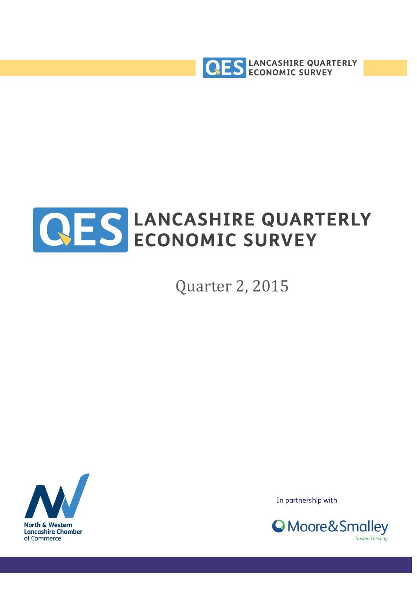



Quarter 2, 2015



In partnership with

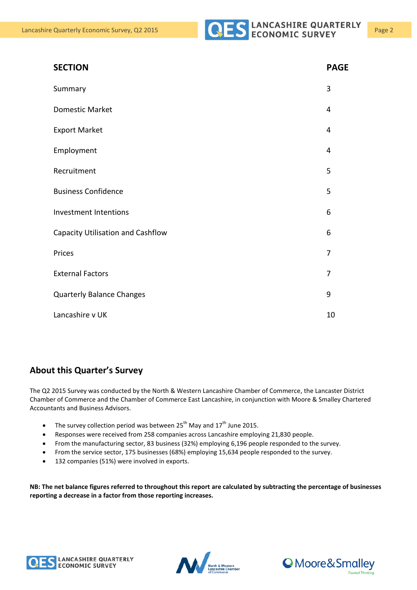| <b>SECTION</b>                    | <b>PAGE</b>    |
|-----------------------------------|----------------|
| Summary                           | 3              |
| Domestic Market                   | 4              |
| <b>Export Market</b>              | $\overline{4}$ |
| Employment                        | 4              |
| Recruitment                       | 5              |
| <b>Business Confidence</b>        | 5              |
| <b>Investment Intentions</b>      | 6              |
| Capacity Utilisation and Cashflow | 6              |
| Prices                            | 7              |
| <b>External Factors</b>           | 7              |
| <b>Quarterly Balance Changes</b>  | 9              |
| Lancashire v UK                   | 10             |

#### **About this Quarter's Survey**

The Q2 2015 Survey was conducted by the North & Western Lancashire Chamber of Commerce, the Lancaster District Chamber of Commerce and the Chamber of Commerce East Lancashire, in conjunction with Moore & Smalley Chartered Accountants and Business Advisors.

- The survey collection period was between  $25^{th}$  May and  $17^{th}$  June 2015.
- Responses were received from 258 companies across Lancashire employing 21,830 people.
- From the manufacturing sector, 83 business (32%) employing 6,196 people responded to the survey.
- From the service sector, 175 businesses (68%) employing 15,634 people responded to the survey.
- 132 companies (51%) were involved in exports.

**NB: The net balance figures referred to throughout this report are calculated by subtracting the percentage of businesses reporting a decrease in a factor from those reporting increases.**





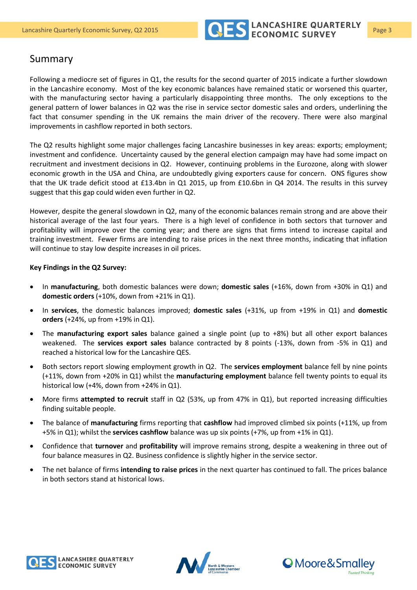

#### Summary

Following a mediocre set of figures in Q1, the results for the second quarter of 2015 indicate a further slowdown in the Lancashire economy. Most of the key economic balances have remained static or worsened this quarter, with the manufacturing sector having a particularly disappointing three months. The only exceptions to the general pattern of lower balances in Q2 was the rise in service sector domestic sales and orders, underlining the fact that consumer spending in the UK remains the main driver of the recovery. There were also marginal improvements in cashflow reported in both sectors.

The Q2 results highlight some major challenges facing Lancashire businesses in key areas: exports; employment; investment and confidence. Uncertainty caused by the general election campaign may have had some impact on recruitment and investment decisions in Q2. However, continuing problems in the Eurozone, along with slower economic growth in the USA and China, are undoubtedly giving exporters cause for concern. ONS figures show that the UK trade deficit stood at £13.4bn in Q1 2015, up from £10.6bn in Q4 2014. The results in this survey suggest that this gap could widen even further in Q2.

However, despite the general slowdown in Q2, many of the economic balances remain strong and are above their historical average of the last four years. There is a high level of confidence in both sectors that turnover and profitability will improve over the coming year; and there are signs that firms intend to increase capital and training investment. Fewer firms are intending to raise prices in the next three months, indicating that inflation will continue to stay low despite increases in oil prices.

#### **Key Findings in the Q2 Survey:**

- In **manufacturing**, both domestic balances were down; **domestic sales** (+16%, down from +30% in Q1) and **domestic orders** (+10%, down from +21% in Q1).
- In **services**, the domestic balances improved; **domestic sales** (+31%, up from +19% in Q1) and **domestic orders** (+24%, up from +19% in Q1).
- The **manufacturing export sales** balance gained a single point (up to +8%) but all other export balances weakened. The **services export sales** balance contracted by 8 points (-13%, down from -5% in Q1) and reached a historical low for the Lancashire QES.
- Both sectors report slowing employment growth in Q2. The **services employment** balance fell by nine points (+11%, down from +20% in Q1) whilst the **manufacturing employment** balance fell twenty points to equal its historical low (+4%, down from +24% in Q1).
- More firms **attempted to recruit** staff in Q2 (53%, up from 47% in Q1), but reported increasing difficulties finding suitable people.
- The balance of **manufacturing** firms reporting that **cashflow** had improved climbed six points (+11%, up from +5% in Q1); whilst the **services cashflow** balance was up six points (+7%, up from +1% in Q1).
- Confidence that **turnover** and **profitability** will improve remains strong, despite a weakening in three out of four balance measures in Q2. Business confidence is slightly higher in the service sector.
- The net balance of firms **intending to raise prices** in the next quarter has continued to fall. The prices balance in both sectors stand at historical lows.





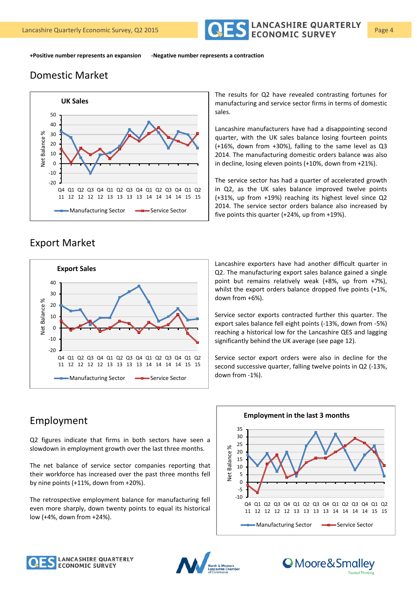

**+Positive number represents an expansion -Negative number represents a contraction**

## Domestic Market



The results for Q2 have revealed contrasting fortunes for manufacturing and service sector firms in terms of domestic sales.

Lancashire manufacturers have had a disappointing second quarter, with the UK sales balance losing fourteen points (+16%, down from +30%), falling to the same level as Q3 2014. The manufacturing domestic orders balance was also in decline, losing eleven points (+10%, down from +21%).

The service sector has had a quarter of accelerated growth in Q2, as the UK sales balance improved twelve points (+31%, up from +19%) reaching its highest level since Q2 2014. The service sector orders balance also increased by five points this quarter (+24%, up from +19%).

#### Export Market



Lancashire exporters have had another difficult quarter in Q2. The manufacturing export sales balance gained a single point but remains relatively weak (+8%, up from +7%), whilst the export orders balance dropped five points (+1%, down from +6%).

Service sector exports contracted further this quarter. The export sales balance fell eight points (-13%, down from -5%) reaching a historical low for the Lancashire QES and lagging significantly behind the UK average (see page 12).

Service sector export orders were also in decline for the second successive quarter, falling twelve points in Q2 (-13%, down from -1%).

## Employment

Q2 figures indicate that firms in both sectors have seen a slowdown in employment growth over the last three months.

The net balance of service sector companies reporting that their workforce has increased over the past three months fell by nine points (+11%, down from +20%).

The retrospective employment balance for manufacturing fell even more sharply, down twenty points to equal its historical low (+4%, down from +24%).



#### **Employment in the last 3 months**





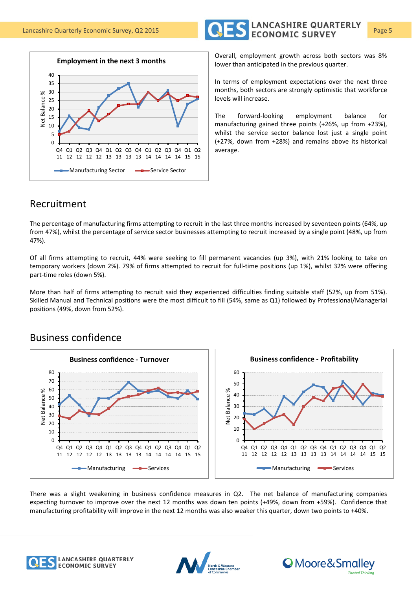



Overall, employment growth across both sectors was 8% lower than anticipated in the previous quarter.

In terms of employment expectations over the next three months, both sectors are strongly optimistic that workforce levels will increase.

The forward-looking employment balance for manufacturing gained three points (+26%, up from +23%), whilst the service sector balance lost just a single point (+27%, down from +28%) and remains above its historical average.

## Recruitment

The percentage of manufacturing firms attempting to recruit in the last three months increased by seventeen points (64%, up from 47%), whilst the percentage of service sector businesses attempting to recruit increased by a single point (48%, up from 47%).

Of all firms attempting to recruit, 44% were seeking to fill permanent vacancies (up 3%), with 21% looking to take on temporary workers (down 2%). 79% of firms attempted to recruit for full-time positions (up 1%), whilst 32% were offering part-time roles (down 5%).

More than half of firms attempting to recruit said they experienced difficulties finding suitable staff (52%, up from 51%). Skilled Manual and Technical positions were the most difficult to fill (54%, same as Q1) followed by Professional/Managerial positions (49%, down from 52%).



## Business confidence

There was a slight weakening in business confidence measures in Q2. The net balance of manufacturing companies expecting turnover to improve over the next 12 months was down ten points (+49%, down from +59%). Confidence that manufacturing profitability will improve in the next 12 months was also weaker this quarter, down two points to +40%.





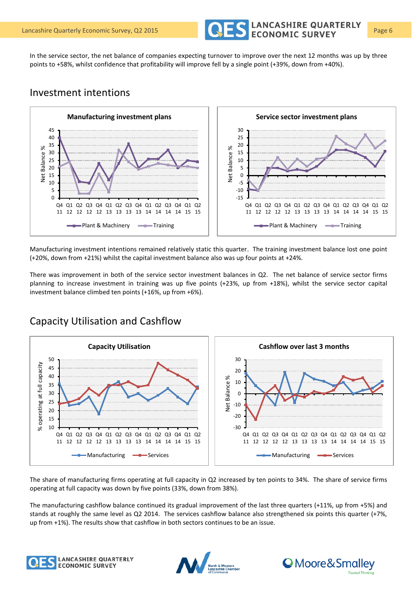

In the service sector, the net balance of companies expecting turnover to improve over the next 12 months was up by three points to +58%, whilst confidence that profitability will improve fell by a single point (+39%, down from +40%).

#### Investment intentions



Manufacturing investment intentions remained relatively static this quarter. The training investment balance lost one point (+20%, down from +21%) whilst the capital investment balance also was up four points at +24%.

There was improvement in both of the service sector investment balances in Q2. The net balance of service sector firms planning to increase investment in training was up five points (+23%, up from +18%), whilst the service sector capital investment balance climbed ten points (+16%, up from +6%).



Capacity Utilisation and Cashflow

The share of manufacturing firms operating at full capacity in Q2 increased by ten points to 34%. The share of service firms operating at full capacity was down by five points (33%, down from 38%).

The manufacturing cashflow balance continued its gradual improvement of the last three quarters (+11%, up from +5%) and stands at roughly the same level as Q2 2014. The services cashflow balance also strengthened six points this quarter (+7%, up from +1%). The results show that cashflow in both sectors continues to be an issue.





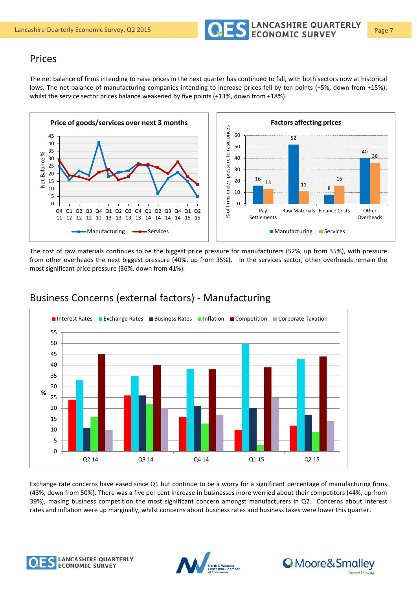

#### Prices

The net balance of firms intending to raise prices in the next quarter has continued to fall, with both sectors now at historical lows. The net balance of manufacturing companies intending to increase prices fell by ten points (+5%, down from +15%); whilst the service sector prices balance weakened by five points (+13%, down from +18%).



The cost of raw materials continues to be the biggest price pressure for manufacturers (52%, up from 35%), with pressure from other overheads the next biggest pressure (40%, up from 35%). In the services sector, other overheads remain the most significant price pressure (36%, down from 41%).



### Business Concerns (external factors) - Manufacturing

Exchange rate concerns have eased since Q1 but continue to be a worry for a significant percentage of manufacturing firms (43%, down from 50%). There was a five per cent increase in businesses more worried about their competitors (44%, up from 39%), making business competition the most significant concern amongst manufacturers in Q2. Concerns about interest rates and inflation were up marginally, whilst concerns about business rates and business taxes were lower this quarter.





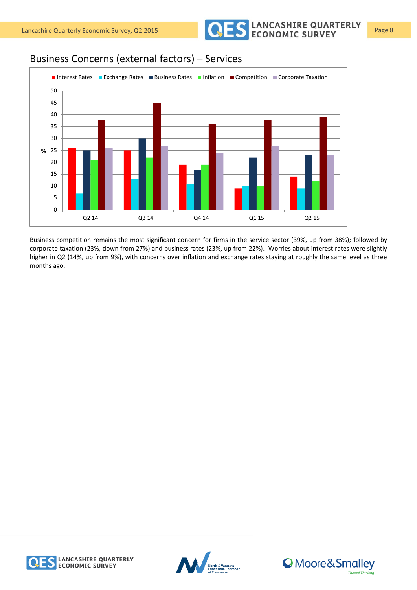Lancashire Quarterly Economic Survey, Q2 2015 **Page 8** CONOMIC SURVEY Page 8

## Business Concerns (external factors) – Services



Business competition remains the most significant concern for firms in the service sector (39%, up from 38%); followed by corporate taxation (23%, down from 27%) and business rates (23%, up from 22%). Worries about interest rates were slightly higher in Q2 (14%, up from 9%), with concerns over inflation and exchange rates staying at roughly the same level as three months ago.





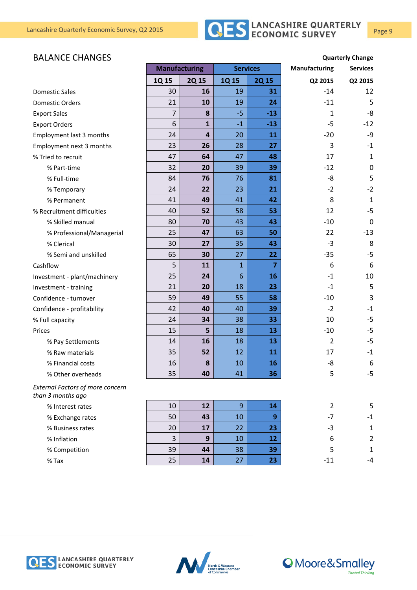# Lancashire Quarterly Economic Survey, Q2 2015 **Page 9** CLANCASHIRE QUARTERLY Page 9

#### **BALANCE CHANGES Quarterly Change**

|                                                              | <b>Manufacturing</b> |                         | <b>Services</b> |                | <b>Manufacturing</b> | <b>Services</b> |
|--------------------------------------------------------------|----------------------|-------------------------|-----------------|----------------|----------------------|-----------------|
|                                                              | 1Q 15                | <b>2Q15</b>             | 1Q 15           | <b>2Q15</b>    | Q2 2015              | Q2 2015         |
| <b>Domestic Sales</b>                                        | 30                   | 16                      | 19              | 31             | $-14$                | 12              |
| <b>Domestic Orders</b>                                       | 21                   | 10                      | 19              | 24             | $-11$                | 5               |
| <b>Export Sales</b>                                          | $\overline{7}$       | 8                       | $-5$            | $-13$          | $\mathbf{1}$         | -8              |
| <b>Export Orders</b>                                         | 6                    | $\mathbf{1}$            | $-1$            | $-13$          | $-5$                 | $-12$           |
| Employment last 3 months                                     | 24                   | $\overline{\mathbf{4}}$ | 20              | 11             | $-20$                | -9              |
| Employment next 3 months                                     | 23                   | 26                      | 28              | 27             | 3                    | $-1$            |
| % Tried to recruit                                           | 47                   | 64                      | 47              | 48             | 17                   | $\mathbf{1}$    |
| % Part-time                                                  | 32                   | 20                      | 39              | 39             | $-12$                | $\mathbf 0$     |
| % Full-time                                                  | 84                   | 76                      | 76              | 81             | -8                   | 5               |
| % Temporary                                                  | 24                   | 22                      | 23              | 21             | $-2$                 | $-2$            |
| % Permanent                                                  | 41                   | 49                      | 41              | 42             | 8                    | $\mathbf{1}$    |
| % Recruitment difficulties                                   | 40                   | 52                      | 58              | 53             | 12                   | $-5$            |
| % Skilled manual                                             | 80                   | 70                      | 43              | 43             | $-10$                | 0               |
| % Professional/Managerial                                    | 25                   | 47                      | 63              | 50             | 22                   | $-13$           |
| % Clerical                                                   | 30                   | 27                      | 35              | 43             | $-3$                 | 8               |
| % Semi and unskilled                                         | 65                   | 30                      | 27              | 22             | $-35$                | $-5$            |
| Cashflow                                                     | 5                    | 11                      | $\mathbf{1}$    | $\overline{7}$ | 6                    | 6               |
| Investment - plant/machinery                                 | 25                   | 24                      | $6\phantom{1}6$ | 16             | $-1$                 | 10              |
| Investment - training                                        | 21                   | 20                      | 18              | 23             | $-1$                 | 5               |
| Confidence - turnover                                        | 59                   | 49                      | 55              | 58             | $-10$                | 3               |
| Confidence - profitability                                   | 42                   | 40                      | 40              | 39             | $-2$                 | $-1$            |
| % Full capacity                                              | 24                   | 34                      | 38              | 33             | 10                   | $-5$            |
| Prices                                                       | 15                   | 5                       | 18              | 13             | $-10$                | $-5$            |
| % Pay Settlements                                            | 14                   | 16                      | 18              | 13             | $\overline{2}$       | $-5$            |
| % Raw materials                                              | 35                   | 52                      | 12              | 11             | 17                   | $-1$            |
| % Financial costs                                            | 16                   | 8                       | 10              | 16             | -8                   | 6               |
| % Other overheads                                            | 35                   | 40                      | 41              | 36             | 5                    | $-5$            |
| <b>External Factors of more concern</b><br>than 3 months ago |                      |                         |                 |                |                      |                 |
| % Interest rates                                             | 10                   | 12                      | 9               | 14             | $\overline{2}$       | 5               |
| % Exchange rates                                             | 50                   | 43                      | 10              | 9              | $-7$                 | $-1$            |
| % Business rates                                             | 20                   | 17                      | 22              | 23             | $-3$                 | $\mathbf{1}$    |
| % Inflation                                                  | 3                    | 9                       | 10              | 12             | 6                    | $\overline{2}$  |
| % Competition                                                | 39                   | 44                      | 38              | 39             | 5                    | $\mathbf{1}$    |
| $%$ Tax                                                      | 25                   | 14                      | 27              | 23             | $-11$                | -4              |





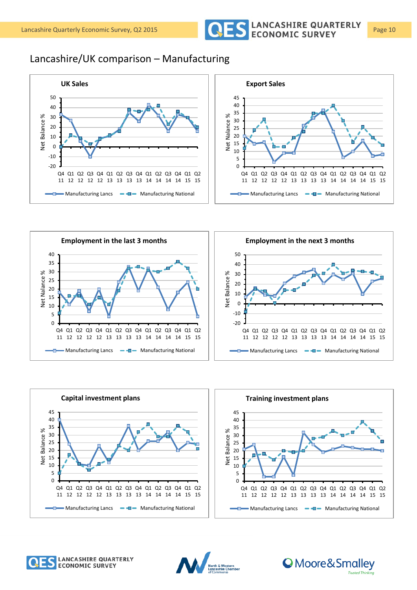

## Lancashire/UK comparison – Manufacturing















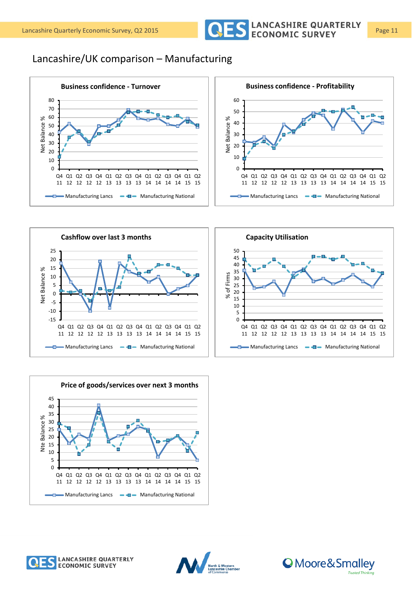

## Lancashire/UK comparison – Manufacturing















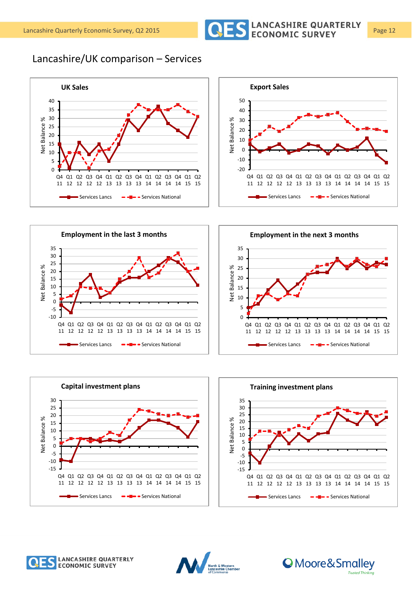

## Lancashire/UK comparison – Services

















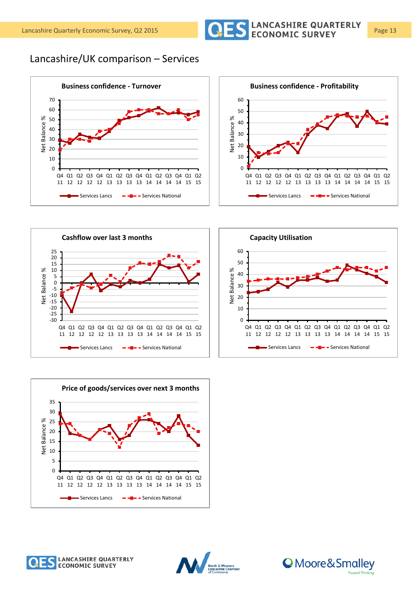

Lancashire/UK comparison – Services